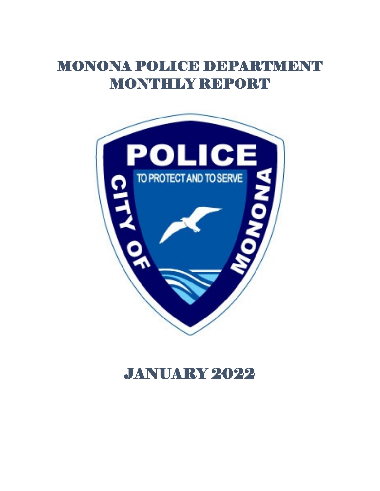# MONONA POLICE DEPARTMENT MONTHLY REPORT



## JANUARY 2022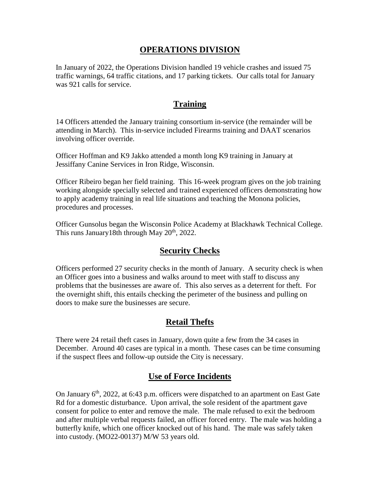### **OPERATIONS DIVISION**

In January of 2022, the Operations Division handled 19 vehicle crashes and issued 75 traffic warnings, 64 traffic citations, and 17 parking tickets. Our calls total for January was 921 calls for service.

## **Training**

14 Officers attended the January training consortium in-service (the remainder will be attending in March). This in-service included Firearms training and DAAT scenarios involving officer override.

Officer Hoffman and K9 Jakko attended a month long K9 training in January at Jessiffany Canine Services in Iron Ridge, Wisconsin.

Officer Ribeiro began her field training. This 16-week program gives on the job training working alongside specially selected and trained experienced officers demonstrating how to apply academy training in real life situations and teaching the Monona policies, procedures and processes.

Officer Gunsolus began the Wisconsin Police Academy at Blackhawk Technical College. This runs January18th through May  $20<sup>th</sup>$ , 2022.

## **Security Checks**

Officers performed 27 security checks in the month of January. A security check is when an Officer goes into a business and walks around to meet with staff to discuss any problems that the businesses are aware of. This also serves as a deterrent for theft. For the overnight shift, this entails checking the perimeter of the business and pulling on doors to make sure the businesses are secure.

## **Retail Thefts**

There were 24 retail theft cases in January, down quite a few from the 34 cases in December. Around 40 cases are typical in a month. These cases can be time consuming if the suspect flees and follow-up outside the City is necessary.

## **Use of Force Incidents**

On January  $6<sup>th</sup>$ , 2022, at 6:43 p.m. officers were dispatched to an apartment on East Gate Rd for a domestic disturbance. Upon arrival, the sole resident of the apartment gave consent for police to enter and remove the male. The male refused to exit the bedroom and after multiple verbal requests failed, an officer forced entry. The male was holding a butterfly knife, which one officer knocked out of his hand. The male was safely taken into custody. (MO22-00137) M/W 53 years old.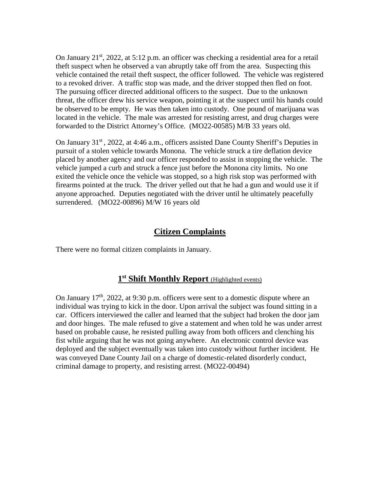On January 21<sup>st</sup>, 2022, at 5:12 p.m. an officer was checking a residential area for a retail theft suspect when he observed a van abruptly take off from the area. Suspecting this vehicle contained the retail theft suspect, the officer followed. The vehicle was registered to a revoked driver. A traffic stop was made, and the driver stopped then fled on foot. The pursuing officer directed additional officers to the suspect. Due to the unknown threat, the officer drew his service weapon, pointing it at the suspect until his hands could be observed to be empty. He was then taken into custody. One pound of marijuana was located in the vehicle. The male was arrested for resisting arrest, and drug charges were forwarded to the District Attorney's Office. (MO22-00585) M/B 33 years old.

On January 31<sup>st</sup>, 2022, at 4:46 a.m., officers assisted Dane County Sheriff's Deputies in pursuit of a stolen vehicle towards Monona. The vehicle struck a tire deflation device placed by another agency and our officer responded to assist in stopping the vehicle. The vehicle jumped a curb and struck a fence just before the Monona city limits. No one exited the vehicle once the vehicle was stopped, so a high risk stop was performed with firearms pointed at the truck. The driver yelled out that he had a gun and would use it if anyone approached. Deputies negotiated with the driver until he ultimately peacefully surrendered. (MO22-00896) M/W 16 years old

### **Citizen Complaints**

There were no formal citizen complaints in January.

#### **1st Shift Monthly Report** (Highlighted events)

On January  $17<sup>th</sup>$ , 2022, at 9:30 p.m. officers were sent to a domestic dispute where an individual was trying to kick in the door. Upon arrival the subject was found sitting in a car. Officers interviewed the caller and learned that the subject had broken the door jam and door hinges. The male refused to give a statement and when told he was under arrest based on probable cause, he resisted pulling away from both officers and clenching his fist while arguing that he was not going anywhere. An electronic control device was deployed and the subject eventually was taken into custody without further incident. He was conveyed Dane County Jail on a charge of domestic-related disorderly conduct, criminal damage to property, and resisting arrest. (MO22-00494)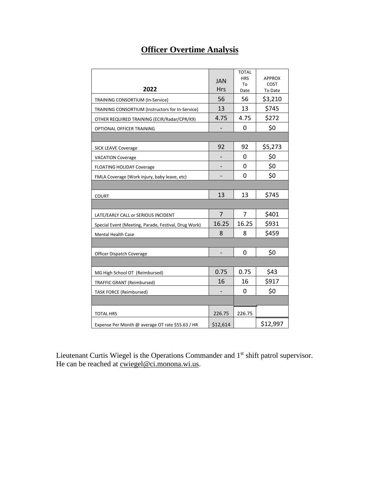## **Officer Overtime Analysis**

| 2022                                                 | <b>JAN</b><br><b>Hrs</b> | <b>TOTAL</b><br><b>HRS</b><br>To<br>Date | <b>APPROX</b><br><b>COST</b><br>To Date |
|------------------------------------------------------|--------------------------|------------------------------------------|-----------------------------------------|
| TRAINING CONSORTIUM (In-Service)                     | 56                       | 56                                       | \$3,210                                 |
| TRAINING CONSORTIUM (Instructors for In-Service)     | 13                       | 13                                       | \$745                                   |
| OTHER REQUIRED TRAINING (ECIR/Radar/CPR/K9)          | 4.75                     | 4.75                                     | \$272                                   |
| OPTIONAL OFFICER TRAINING                            |                          | 0                                        | \$0                                     |
| <b>SICK LEAVE Coverage</b>                           | 92                       | 92                                       | \$5,273                                 |
| <b>VACATION Coverage</b>                             |                          | 0                                        | \$0                                     |
| <b>FLOATING HOLIDAY Coverage</b>                     |                          | 0                                        | \$0                                     |
| FMLA Coverage (Work injury, baby leave, etc)         |                          | 0                                        | \$0                                     |
|                                                      |                          |                                          |                                         |
| <b>COURT</b>                                         | 13                       | 13                                       | \$745                                   |
|                                                      |                          |                                          |                                         |
| LATE/EARLY CALL or SERIOUS INCIDENT                  | 7                        | 7                                        | \$401                                   |
| Special Event (Meeting, Parade, Festival, Drug Work) | 16.25                    | 16.25                                    | \$931                                   |
| Mental Health Case                                   | 8                        | 8                                        | \$459                                   |
|                                                      |                          |                                          |                                         |
| Officer Dispatch Coverage                            |                          | 0                                        | \$0                                     |
|                                                      |                          |                                          |                                         |
| MG High School OT (Reimbursed)                       | 0.75                     | 0.75                                     | \$43                                    |
| <b>TRAFFIC GRANT (Reimbursed)</b>                    | 16                       | 16                                       | \$917                                   |
| <b>TASK FORCE (Reimbursed)</b>                       |                          | 0                                        | \$0                                     |
|                                                      |                          |                                          |                                         |
| <b>TOTAL HRS</b>                                     | 226.75                   | 226.75                                   |                                         |
| Expense Per Month @ average OT rate \$55.63 / HR     | \$12,614                 |                                          | \$12,997                                |

Lieutenant Curtis Wiegel is the Operations Commander and 1<sup>st</sup> shift patrol supervisor. He can be reached at <u>cwiegel@ci.monona.wi.us</u>.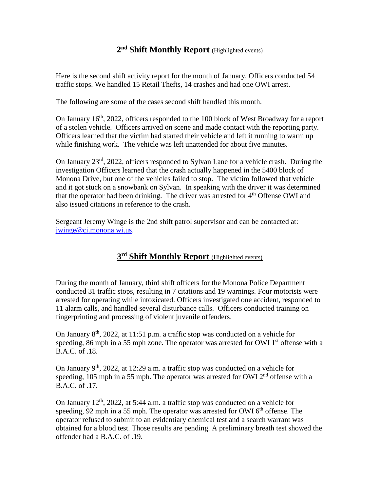#### **2nd Shift Monthly Report** (Highlighted events)

Here is the second shift activity report for the month of January. Officers conducted 54 traffic stops. We handled 15 Retail Thefts, 14 crashes and had one OWI arrest.

The following are some of the cases second shift handled this month.

On January  $16<sup>th</sup>$ , 2022, officers responded to the 100 block of West Broadway for a report of a stolen vehicle. Officers arrived on scene and made contact with the reporting party. Officers learned that the victim had started their vehicle and left it running to warm up while finishing work. The vehicle was left unattended for about five minutes.

On January 23rd, 2022, officers responded to Sylvan Lane for a vehicle crash. During the investigation Officers learned that the crash actually happened in the 5400 block of Monona Drive, but one of the vehicles failed to stop. The victim followed that vehicle and it got stuck on a snowbank on Sylvan. In speaking with the driver it was determined that the operator had been drinking. The driver was arrested for  $4<sup>th</sup>$  Offense OWI and also issued citations in reference to the crash.

Sergeant Jeremy Winge is the 2nd shift patrol supervisor and can be contacted at: [jwinge@ci.monona.wi.us.](mailto:jwinge@ci.monona.wi.us)

## **3rd Shift Monthly Report** (Highlighted events)

During the month of January, third shift officers for the Monona Police Department conducted 31 traffic stops, resulting in 7 citations and 19 warnings. Four motorists were arrested for operating while intoxicated. Officers investigated one accident, responded to 11 alarm calls, and handled several disturbance calls. Officers conducted training on fingerprinting and processing of violent juvenile offenders.

On January  $8<sup>th</sup>$ , 2022, at 11:51 p.m. a traffic stop was conducted on a vehicle for speeding, 86 mph in a 55 mph zone. The operator was arrested for OWI  $1<sup>st</sup>$  offense with a B.A.C. of .18.

On January  $9<sup>th</sup>$ , 2022, at 12:29 a.m. a traffic stop was conducted on a vehicle for speeding, 105 mph in a 55 mph. The operator was arrested for OWI  $2<sup>nd</sup>$  offense with a B.A.C. of .17.

On January  $12<sup>th</sup>$ , 2022, at 5:44 a.m. a traffic stop was conducted on a vehicle for speeding, 92 mph in a 55 mph. The operator was arrested for OWI  $6<sup>th</sup>$  offense. The operator refused to submit to an evidentiary chemical test and a search warrant was obtained for a blood test. Those results are pending. A preliminary breath test showed the offender had a B.A.C. of .19.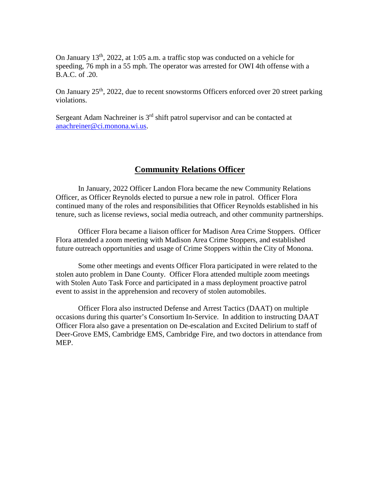On January  $13<sup>th</sup>$ , 2022, at 1:05 a.m. a traffic stop was conducted on a vehicle for speeding, 76 mph in a 55 mph. The operator was arrested for OWI 4th offense with a B.A.C. of .20.

On January  $25<sup>th</sup>$ , 2022, due to recent snowstorms Officers enforced over 20 street parking violations.

Sergeant Adam Nachreiner is 3<sup>rd</sup> shift patrol supervisor and can be contacted at [anachreiner@ci.monona.wi.us.](mailto:anachreiner@ci.monona.wi.us)

#### **Community Relations Officer**

In January, 2022 Officer Landon Flora became the new Community Relations Officer, as Officer Reynolds elected to pursue a new role in patrol. Officer Flora continued many of the roles and responsibilities that Officer Reynolds established in his tenure, such as license reviews, social media outreach, and other community partnerships.

Officer Flora became a liaison officer for Madison Area Crime Stoppers. Officer Flora attended a zoom meeting with Madison Area Crime Stoppers, and established future outreach opportunities and usage of Crime Stoppers within the City of Monona.

Some other meetings and events Officer Flora participated in were related to the stolen auto problem in Dane County. Officer Flora attended multiple zoom meetings with Stolen Auto Task Force and participated in a mass deployment proactive patrol event to assist in the apprehension and recovery of stolen automobiles.

Officer Flora also instructed Defense and Arrest Tactics (DAAT) on multiple occasions during this quarter's Consortium In-Service. In addition to instructing DAAT Officer Flora also gave a presentation on De-escalation and Excited Delirium to staff of Deer-Grove EMS, Cambridge EMS, Cambridge Fire, and two doctors in attendance from MEP.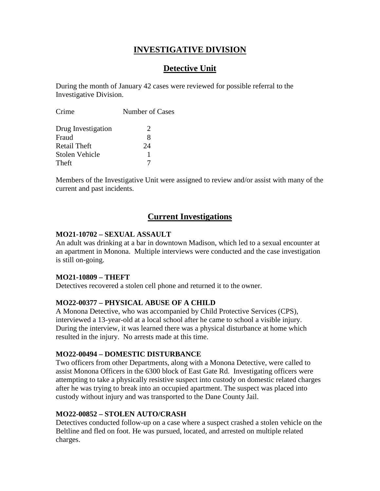## **INVESTIGATIVE DIVISION**

## **Detective Unit**

During the month of January 42 cases were reviewed for possible referral to the Investigative Division.

| Crime              | Number of Cases             |
|--------------------|-----------------------------|
| Drug Investigation | $\mathcal{D}_{\mathcal{L}}$ |
| Fraud              | 8                           |
| Retail Theft       | 24                          |
| Stolen Vehicle     |                             |
| Theft              |                             |

Members of the Investigative Unit were assigned to review and/or assist with many of the current and past incidents.

### **Current Investigations**

#### **MO21-10702 – SEXUAL ASSAULT**

An adult was drinking at a bar in downtown Madison, which led to a sexual encounter at an apartment in Monona. Multiple interviews were conducted and the case investigation is still on-going.

#### **MO21-10809 – THEFT**

Detectives recovered a stolen cell phone and returned it to the owner.

#### **MO22-00377 – PHYSICAL ABUSE OF A CHILD**

A Monona Detective, who was accompanied by Child Protective Services (CPS), interviewed a 13-year-old at a local school after he came to school a visible injury. During the interview, it was learned there was a physical disturbance at home which resulted in the injury. No arrests made at this time.

#### **MO22-00494 – DOMESTIC DISTURBANCE**

Two officers from other Departments, along with a Monona Detective, were called to assist Monona Officers in the 6300 block of East Gate Rd. Investigating officers were attempting to take a physically resistive suspect into custody on domestic related charges after he was trying to break into an occupied apartment. The suspect was placed into custody without injury and was transported to the Dane County Jail.

#### **MO22-00852 – STOLEN AUTO/CRASH**

Detectives conducted follow-up on a case where a suspect crashed a stolen vehicle on the Beltline and fled on foot. He was pursued, located, and arrested on multiple related charges.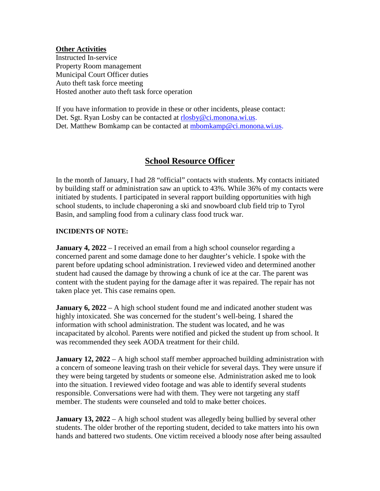#### **Other Activities**

Instructed In-service Property Room management Municipal Court Officer duties Auto theft task force meeting Hosted another auto theft task force operation

If you have information to provide in these or other incidents, please contact: Det. Sgt. Ryan Losby can be contacted at [rlosby@ci.monona.wi.us.](mailto:rlosby@ci.monona.wi.us) Det. Matthew Bomkamp can be contacted at [mbomkamp@ci.monona.wi.us.](mailto:mbomkamp@ci.monona.wi.us)

## **School Resource Officer**

In the month of January, I had 28 "official" contacts with students. My contacts initiated by building staff or administration saw an uptick to 43%. While 36% of my contacts were initiated by students. I participated in several rapport building opportunities with high school students, to include chaperoning a ski and snowboard club field trip to Tyrol Basin, and sampling food from a culinary class food truck war.

#### **INCIDENTS OF NOTE:**

**January 4, 2022** – I received an email from a high school counselor regarding a concerned parent and some damage done to her daughter's vehicle. I spoke with the parent before updating school administration. I reviewed video and determined another student had caused the damage by throwing a chunk of ice at the car. The parent was content with the student paying for the damage after it was repaired. The repair has not taken place yet. This case remains open.

**January 6, 2022** – A high school student found me and indicated another student was highly intoxicated. She was concerned for the student's well-being. I shared the information with school administration. The student was located, and he was incapacitated by alcohol. Parents were notified and picked the student up from school. It was recommended they seek AODA treatment for their child.

**January 12, 2022** – A high school staff member approached building administration with a concern of someone leaving trash on their vehicle for several days. They were unsure if they were being targeted by students or someone else. Administration asked me to look into the situation. I reviewed video footage and was able to identify several students responsible. Conversations were had with them. They were not targeting any staff member. The students were counseled and told to make better choices.

**January 13, 2022** – A high school student was allegedly being bullied by several other students. The older brother of the reporting student, decided to take matters into his own hands and battered two students. One victim received a bloody nose after being assaulted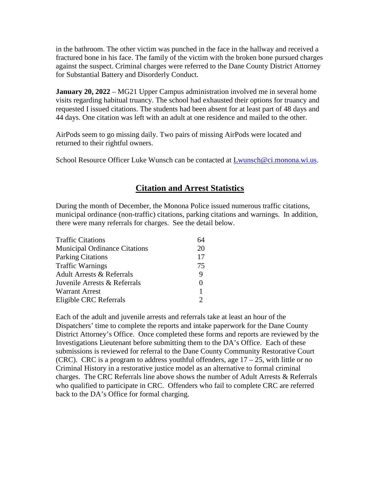in the bathroom. The other victim was punched in the face in the hallway and received a fractured bone in his face. The family of the victim with the broken bone pursued charges against the suspect. Criminal charges were referred to the Dane County District Attorney for Substantial Battery and Disorderly Conduct.

**January 20, 2022** – MG21 Upper Campus administration involved me in several home visits regarding habitual truancy. The school had exhausted their options for truancy and requested I issued citations. The students had been absent for at least part of 48 days and 44 days. One citation was left with an adult at one residence and mailed to the other.

AirPods seem to go missing daily. Two pairs of missing AirPods were located and returned to their rightful owners.

School Resource Officer Luke Wunsch can be contacted at [Lwunsch@ci.monona.wi.us.](mailto:Lwunsch@ci.monona.wi.us)

## **Citation and Arrest Statistics**

During the month of December, the Monona Police issued numerous traffic citations, municipal ordinance (non-traffic) citations, parking citations and warnings. In addition, there were many referrals for charges. See the detail below.

| <b>Traffic Citations</b>             |    |
|--------------------------------------|----|
| <b>Municipal Ordinance Citations</b> | 20 |
| <b>Parking Citations</b>             | 17 |
| <b>Traffic Warnings</b>              | 75 |
| <b>Adult Arrests &amp; Referrals</b> | 9  |
| Juvenile Arrests & Referrals         | 0  |
| <b>Warrant Arrest</b>                | 1  |
| Eligible CRC Referrals               |    |

Each of the adult and juvenile arrests and referrals take at least an hour of the Dispatchers' time to complete the reports and intake paperwork for the Dane County District Attorney's Office. Once completed these forms and reports are reviewed by the Investigations Lieutenant before submitting them to the DA's Office. Each of these submissions is reviewed for referral to the Dane County Community Restorative Court (CRC). CRC is a program to address youthful offenders, age  $17 - 25$ , with little or no Criminal History in a restorative justice model as an alternative to formal criminal charges. The CRC Referrals line above shows the number of Adult Arrests & Referrals who qualified to participate in CRC. Offenders who fail to complete CRC are referred back to the DA's Office for formal charging.